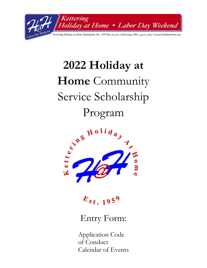

# **2022 Holiday at Home** Community Service Scholarship Program



 $E_{st.1959}$ 

# Entry Form:

Application Code of Conduct Calendar of Events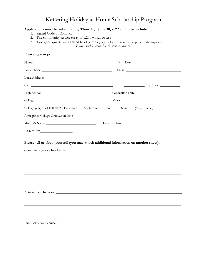### Kettering Holiday at Home Scholarship Program

#### **Applications must be submitted by Thursday, June 30, 2022 and must include:**

- 1. Signed Code of Conduct
- 2. The community service essay of 1,200 words or less
- 3. Two good quality wallet sized head photos (these will appear in our event poster andnewspaper) *Entries will be limited to the first 20 received*

# **Please type or print** Name: Name: Name: Name: Name: Name: Name: Name: Name: Name: Name: Name: Name: Name: Name: Name: Name: Name: Name: Name: Name: Name: Name: Name: Name: Name: Name: Name: Name: Name: Name: Name: Name: Name: Name: Name: Name: Local Phone: Email: Email: Email: Email: Email: Email: Email: Email: Email: Email: Email: Email: Email: Email: Email: Email: Email: Email: Email: Email: Email: Email: Email: Email: Email: Email: Email: Email: Email: Email: Local Address: City: State: Zip Code: High School: Graduation Date: Graduation Date: College: Major: College year, as of Fall 2022: Freshman Sophomore Junior Senior *(please circle one)* Anticipated College Graduation Date: Mother's Name: Father's Name: Father's Name: The Mother's Name: The Masseum of the Masseum of the Masseum of the Masseum of the Masseum of the Masseum of the Masseum of the Masseum of the Masseum of the Masseum of the Mass T-Shirt Size\_\_\_\_\_\_\_\_\_\_\_\_\_\_\_\_\_\_\_ **Please tell us about yourself (you may attach additional information on another sheet).** Community Service Involvement: Activities and Interests:

\_\_\_\_\_\_\_\_\_\_\_\_\_\_\_\_\_\_\_\_\_\_\_\_\_\_\_\_\_\_\_\_\_\_\_\_\_\_\_\_\_\_\_\_\_\_\_\_\_\_\_\_\_\_\_\_\_\_\_\_\_\_\_\_\_\_\_\_\_\_\_\_\_\_\_\_\_\_\_\_\_\_\_\_\_\_\_\_\_\_\_\_\_

Fun Facts about Yourself: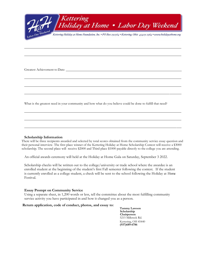

Greatest Achievement to Date:

What is the greatest need in your community and how what do you believe could be done to fulfill that need?

#### **Scholarship Information**

There will be three recipients awarded and selected by total scores obtained from the community service essay question and their personal interview. The first place winner of the Kettering Holiday at Home Scholarship Contest will receive a \$3000 scholarship. The second place will receive \$2000 and Third place \$1000 payable directly to the college you are attending.

An official awards ceremony will held at the Holiday at Home Gala on Saturday, September 3 2022.

Scholarship checks will be written out to the college/university or trade school where the awardee is an enrolled student at the beginning of the student's first Fall semester following the contest. If the student is currently enrolled as a college student, a check will be sent to the school following the Holiday at Home Festival.

#### **Essay Prompt on Community Service**

Using a separate sheet, in 1,200 words or less, tell the committee about the most fulfilling community service activity you have participated in and how it changed you as a person.

#### **Return application, code of conduct, photos, and essay to:**

**Tammy Lawson Scholarship Chairperson** 5215 Millcreek Rd. Kettering, OH 45440 **(937)689-6786**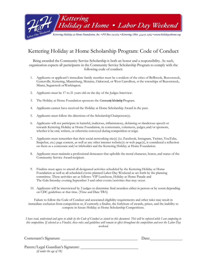

## Kettering Holiday at Home Scholarship Program: Code of Conduct

Being awarded the Community Service Scholarship is both an honor and a responsibility. As such, organization expects all participants in the Community Service Scholarship Program to comply with the following code of conduct:

- 1. Applicants or applicant's immediate family member must be a resident of the cities of Bellbrook, Beavercreek, Centerville, Kettering, Miamisburg, Moraine, Oakwood, or West Carrollton, *or* the townships of Beavercreek, Miami, Sugarcreek orWashington.
- 2. Applicants must be 17 to 21 years old on the day of the Judges Interview.
- 3. The Holiday at Home Foundation sponsors the Community Scholarship Program.
- 4. Applicants cannot have received the Holiday at Home Scholarship Award in the past.
- 5. Applicants must follow the directions of the ScholarshipChairperson(s).
- 6. Applicants will not participate in harmful, malicious, inflammatory, defaming or slanderous speech or towards Kettering Holiday at Home Foundation, its contestants, volunteers, judges, and/or sponsors, whether it be oral, written, or otherwise conveyed during competition or reign.
- 7. Applicants must remember that their social networking site(s) (i.e. Facebook, Instagram, Twitter, YouTube, Snapchat, etc.) page content, as well as any other internet website(s) or web page(s), is considered a reflection on them as a contestant and/or titleholder and the Kettering Holiday at Home Foundation.
- 8. Applicants must maintain a professional demeanor that upholds the moral character, honor, and status of the Community Service Award recipient.
- 9. Finalists must agree to attend all designated activities scheduled by the Kettering Holiday at Home Foundation as well as all scheduled events planned Labor Day Weekend as set forth by the planning committee. These activities are as follows: VIP Luncheon, Holiday at Home Parade and The Gala Saturday evening September 3 and other events/activities that may occur.
- 10. Applicants will be interviewed by 3 judges to determine final awardees either in person or by zoom depending on CDC guidelines at that time. (Time and Date TBA)

Failure to follow the Code of Conduct and associated eligibility requirements and other rules may result in immediate exclusion from competition or, if currently a finalist, the forfeiture of awards, prizes, and the inability to compete in future Holiday at Home Scholarship Competitions.

*I have read, understood and agree to abide by the Code of Conduct as stated on this document. This will be enforced while I am competing in this competition. If selected as a Finalist, these rules and guidelines will remain in effect throughout the competition and over the Labor Day weekend.*

Contestant's Signature:

Date:

Parent/Legal Guardian's Signature: *(if under the age of 18)*